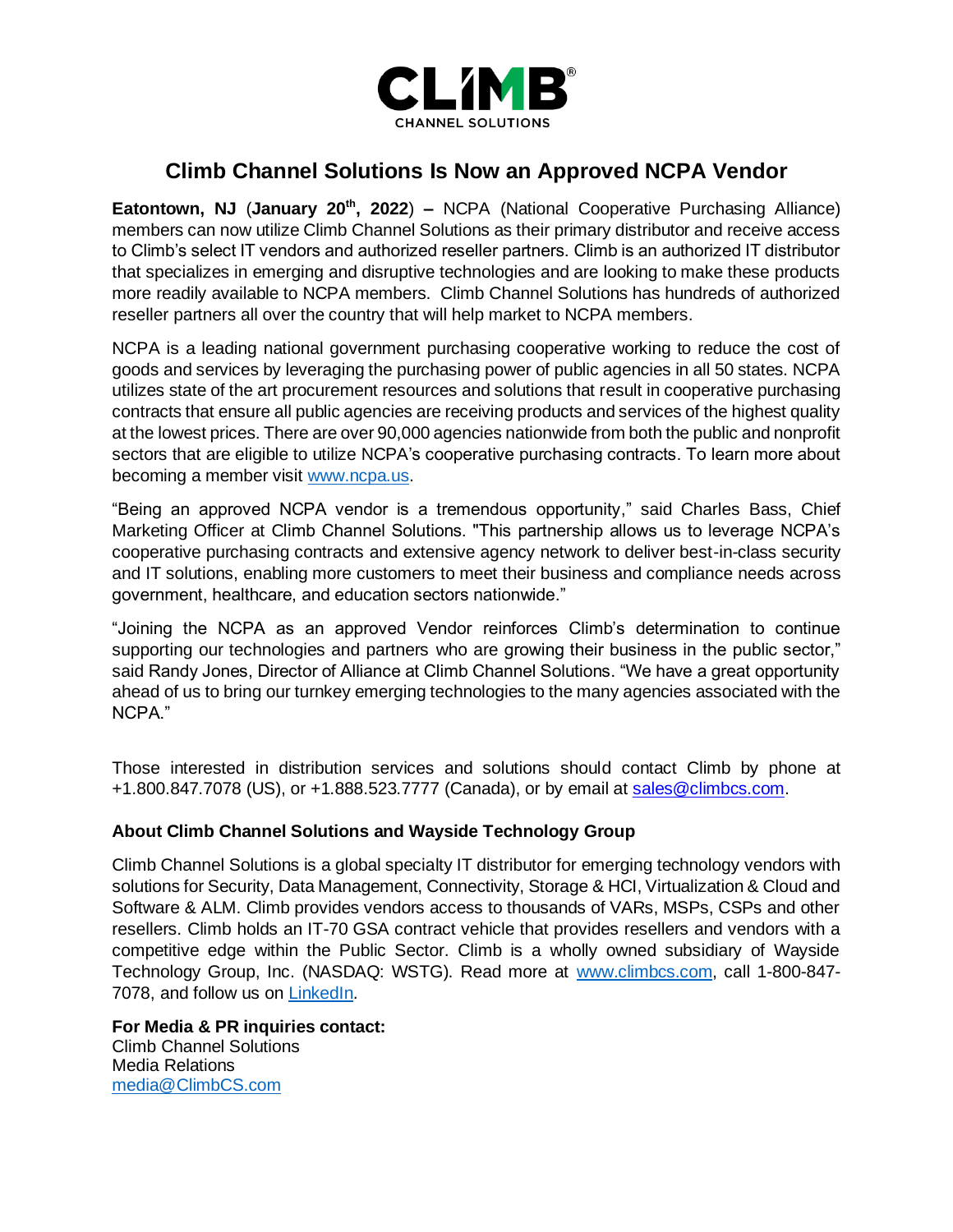

## **Climb Channel Solutions Is Now an Approved NCPA Vendor**

**Eatontown, NJ** (**January 20th, 2022**) **–** NCPA (National Cooperative Purchasing Alliance) members can now utilize Climb Channel Solutions as their primary distributor and receive access to Climb's select IT vendors and authorized reseller partners. Climb is an authorized IT distributor that specializes in emerging and disruptive technologies and are looking to make these products more readily available to NCPA members. Climb Channel Solutions has hundreds of authorized reseller partners all over the country that will help market to NCPA members.

NCPA is a leading national government purchasing cooperative working to reduce the cost of goods and services by leveraging the purchasing power of public agencies in all 50 states. NCPA utilizes state of the art procurement resources and solutions that result in cooperative purchasing contracts that ensure all public agencies are receiving products and services of the highest quality at the lowest prices. There are over 90,000 agencies nationwide from both the public and nonprofit sectors that are eligible to utilize NCPA's cooperative purchasing contracts. To learn more about becoming a member visit [www.ncpa.us.](http://www.ncpa.us/)

"Being an approved NCPA vendor is a tremendous opportunity," said Charles Bass, Chief Marketing Officer at Climb Channel Solutions. "This partnership allows us to leverage NCPA's cooperative purchasing contracts and extensive agency network to deliver best-in-class security and IT solutions, enabling more customers to meet their business and compliance needs across government, healthcare, and education sectors nationwide."

"Joining the NCPA as an approved Vendor reinforces Climb's determination to continue supporting our technologies and partners who are growing their business in the public sector," said Randy Jones, Director of Alliance at Climb Channel Solutions. "We have a great opportunity ahead of us to bring our turnkey emerging technologies to the many agencies associated with the NCPA."

Those interested in distribution services and solutions should contact Climb by phone at +1.800.847.7078 (US), or +1.888.523.7777 (Canada), or by email at [sales@climbcs.com.](mailto:sales@climbcs.com)

## **About Climb Channel Solutions and Wayside Technology Group**

Climb Channel Solutions is a global specialty IT distributor for emerging technology vendors with solutions for Security, Data Management, Connectivity, Storage & HCI, Virtualization & Cloud and Software & ALM. Climb provides vendors access to thousands of VARs, MSPs, CSPs and other resellers. Climb holds an IT-70 GSA contract vehicle that provides resellers and vendors with a competitive edge within the Public Sector. Climb is a wholly owned subsidiary of Wayside Technology Group, Inc. (NASDAQ: WSTG). Read more at [www.climbcs.com,](http://www.climbcs.com/) call 1-800-847- 7078, and follow us on [LinkedIn.](https://www.linkedin.com/company/climbcs/mycompany/)

**For Media & PR inquiries contact:**  Climb Channel Solutions Media Relations [media@ClimbCS.com](mailto:media@ClimbCS.com)